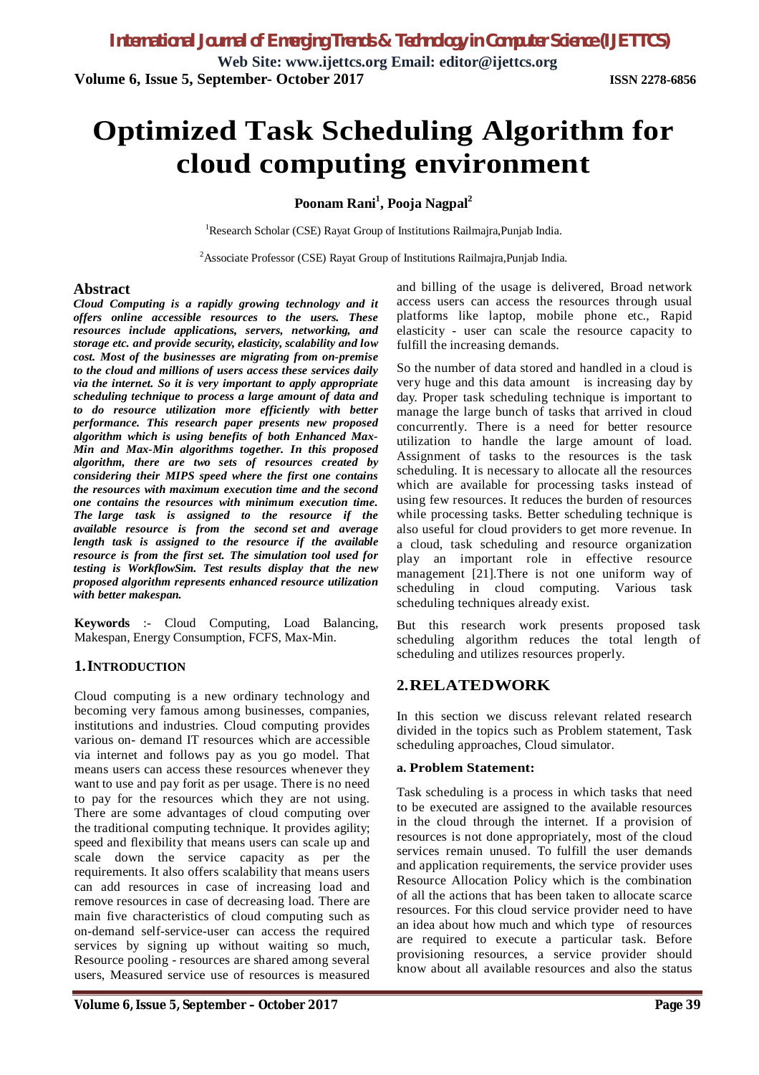**Web Site: www.ijettcs.org Email: editor@ijettcs.org Volume 6, Issue 5, September- October 2017 ISSN 2278-6856**

# **Optimized Task Scheduling Algorithm for cloud computing environment**

#### **Poonam Rani<sup>1</sup> , Pooja Nagpal<sup>2</sup>**

<sup>1</sup>Research Scholar (CSE) Rayat Group of Institutions Railmajra, Punjab India.

<sup>2</sup>Associate Professor (CSE) Rayat Group of Institutions Railmajra, Punjab India.

#### **Abstract**

*Cloud Computing is a rapidly growing technology and it offers online accessible resources to the users. These resources include applications, servers, networking, and storage etc. and provide security, elasticity, scalability and low cost. Most of the businesses are migrating from on-premise to the cloud and millions of users access these services daily via the internet. So it is very important to apply appropriate scheduling technique to process a large amount of data and to do resource utilization more efficiently with better performance. This research paper presents new proposed algorithm which is using benefits of both Enhanced Max-Min and Max-Min algorithms together. In this proposed algorithm, there are two sets of resources created by considering their MIPS speed where the first one contains the resources with maximum execution time and the second one contains the resources with minimum execution time. The large task is assigned to the resource if the available resource is from the second set and average length task is assigned to the resource if the available resource is from the first set. The simulation tool used for testing is WorkflowSim. Test results display that the new proposed algorithm represents enhanced resource utilization with better makespan.*

**Keywords** :- Cloud Computing, Load Balancing, Makespan, Energy Consumption, FCFS, Max-Min.

#### **1.INTRODUCTION**

Cloud computing is a new ordinary technology and becoming very famous among businesses, companies, institutions and industries. Cloud computing provides various on- demand IT resources which are accessible via internet and follows pay as you go model. That means users can access these resources whenever they want to use and pay forit as per usage. There is no need to pay for the resources which they are not using. There are some advantages of cloud computing over the traditional computing technique. It provides agility; speed and flexibility that means users can scale up and scale down the service capacity as per the requirements. It also offers scalability that means users can add resources in case of increasing load and remove resources in case of decreasing load. There are main five characteristics of cloud computing such as on-demand self-service-user can access the required services by signing up without waiting so much, Resource pooling - resources are shared among several users, Measured service use of resources is measured

and billing of the usage is delivered, Broad network access users can access the resources through usual platforms like laptop, mobile phone etc., Rapid elasticity - user can scale the resource capacity to fulfill the increasing demands.

So the number of data stored and handled in a cloud is very huge and this data amount is increasing day by day. Proper task scheduling technique is important to manage the large bunch of tasks that arrived in cloud concurrently. There is a need for better resource utilization to handle the large amount of load. Assignment of tasks to the resources is the task scheduling. It is necessary to allocate all the resources which are available for processing tasks instead of using few resources. It reduces the burden of resources while processing tasks. Better scheduling technique is also useful for cloud providers to get more revenue. In a cloud, task scheduling and resource organization play an important role in effective resource management [21].There is not one uniform way of scheduling in cloud computing. Various task scheduling techniques already exist.

But this research work presents proposed task scheduling algorithm reduces the total length of scheduling and utilizes resources properly.

# **2.RELATEDWORK**

In this section we discuss relevant related research divided in the topics such as Problem statement, Task scheduling approaches, Cloud simulator.

#### **a. Problem Statement:**

Task scheduling is a process in which tasks that need to be executed are assigned to the available resources in the cloud through the internet. If a provision of resources is not done appropriately, most of the cloud services remain unused. To fulfill the user demands and application requirements, the service provider uses Resource Allocation Policy which is the combination of all the actions that has been taken to allocate scarce resources. For this cloud service provider need to have an idea about how much and which type of resources are required to execute a particular task. Before provisioning resources, a service provider should know about all available resources and also the status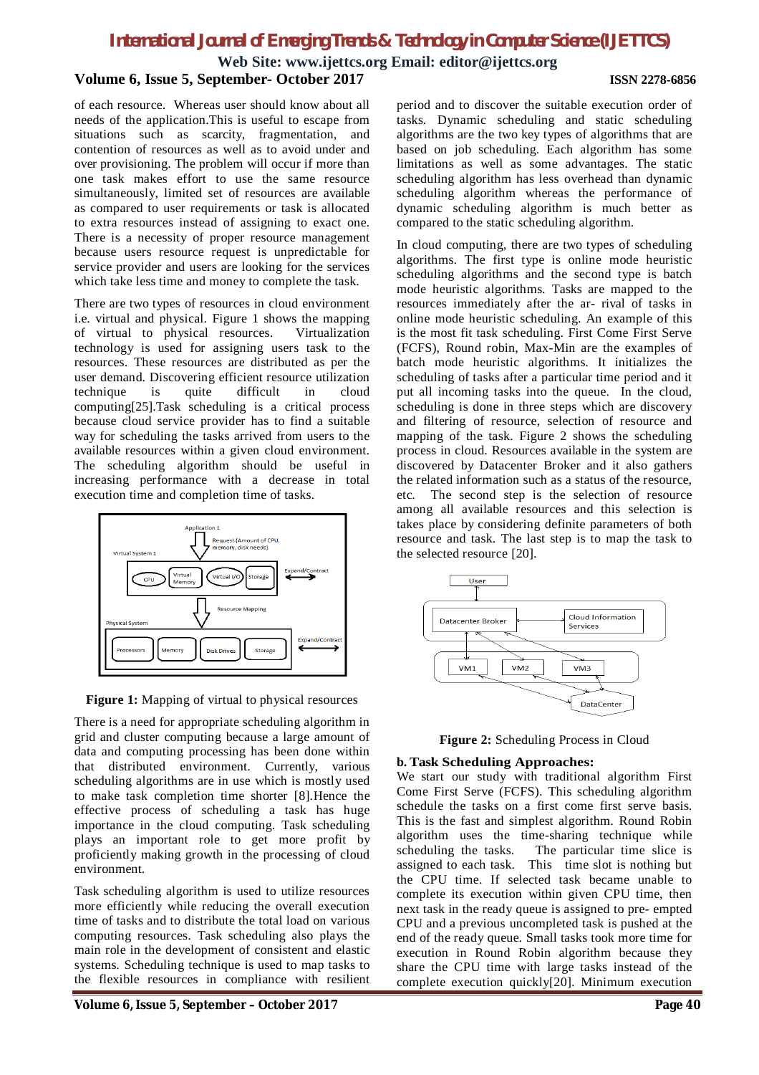**Web Site: www.ijettcs.org Email: editor@ijettcs.org**

#### **Volume 6, Issue 5, September- October 2017 ISSN 2278-6856**

of each resource. Whereas user should know about all needs of the application.This is useful to escape from situations such as scarcity, fragmentation, and contention of resources as well as to avoid under and over provisioning. The problem will occur if more than one task makes effort to use the same resource simultaneously, limited set of resources are available as compared to user requirements or task is allocated to extra resources instead of assigning to exact one. There is a necessity of proper resource management because users resource request is unpredictable for service provider and users are looking for the services which take less time and money to complete the task.

There are two types of resources in cloud environment i.e. virtual and physical. Figure 1 shows the mapping of virtual to physical resources. Virtualization technology is used for assigning users task to the resources. These resources are distributed as per the user demand. Discovering efficient resource utilization technique is quite difficult in cloud computing[25].Task scheduling is a critical process because cloud service provider has to find a suitable way for scheduling the tasks arrived from users to the available resources within a given cloud environment. The scheduling algorithm should be useful in increasing performance with a decrease in total execution time and completion time of tasks.



**Figure 1:** Mapping of virtual to physical resources

There is a need for appropriate scheduling algorithm in grid and cluster computing because a large amount of data and computing processing has been done within that distributed environment. Currently, various scheduling algorithms are in use which is mostly used to make task completion time shorter [8].Hence the effective process of scheduling a task has huge importance in the cloud computing. Task scheduling plays an important role to get more profit by proficiently making growth in the processing of cloud environment.

Task scheduling algorithm is used to utilize resources more efficiently while reducing the overall execution time of tasks and to distribute the total load on various computing resources. Task scheduling also plays the main role in the development of consistent and elastic systems. Scheduling technique is used to map tasks to the flexible resources in compliance with resilient

**Volume 6, Issue 5, September – October 2017 Page 40**

period and to discover the suitable execution order of tasks. Dynamic scheduling and static scheduling algorithms are the two key types of algorithms that are based on job scheduling. Each algorithm has some limitations as well as some advantages. The static scheduling algorithm has less overhead than dynamic scheduling algorithm whereas the performance of dynamic scheduling algorithm is much better as compared to the static scheduling algorithm.

In cloud computing, there are two types of scheduling algorithms. The first type is online mode heuristic scheduling algorithms and the second type is batch mode heuristic algorithms. Tasks are mapped to the resources immediately after the ar- rival of tasks in online mode heuristic scheduling. An example of this is the most fit task scheduling. First Come First Serve (FCFS), Round robin, Max-Min are the examples of batch mode heuristic algorithms. It initializes the scheduling of tasks after a particular time period and it put all incoming tasks into the queue. In the cloud, scheduling is done in three steps which are discovery and filtering of resource, selection of resource and mapping of the task. Figure 2 shows the scheduling process in cloud. Resources available in the system are discovered by Datacenter Broker and it also gathers the related information such as a status of the resource, etc. The second step is the selection of resource among all available resources and this selection is takes place by considering definite parameters of both resource and task. The last step is to map the task to the selected resource [20].





#### **b. Task Scheduling Approaches:**

We start our study with traditional algorithm First Come First Serve (FCFS). This scheduling algorithm schedule the tasks on a first come first serve basis. This is the fast and simplest algorithm. Round Robin algorithm uses the time-sharing technique while scheduling the tasks. The particular time slice is assigned to each task. This time slot is nothing but the CPU time. If selected task became unable to complete its execution within given CPU time, then next task in the ready queue is assigned to pre- empted CPU and a previous uncompleted task is pushed at the end of the ready queue. Small tasks took more time for execution in Round Robin algorithm because they share the CPU time with large tasks instead of the complete execution quickly[20]. Minimum execution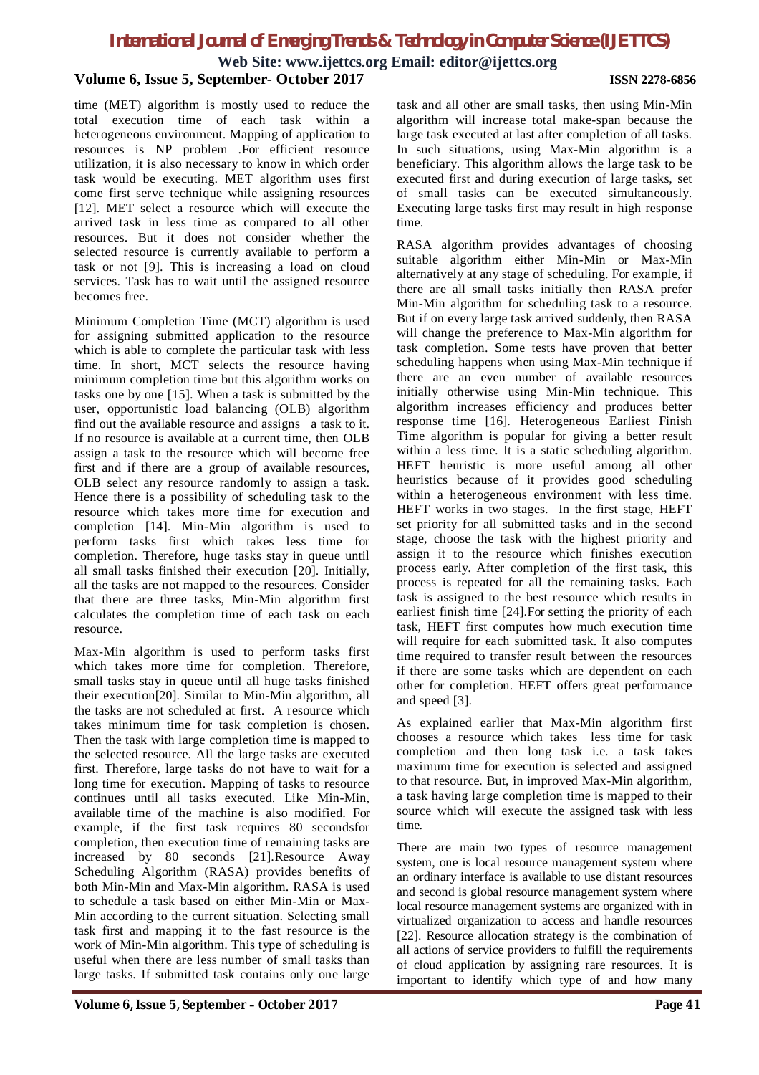**Web Site: www.ijettcs.org Email: editor@ijettcs.org**

#### **Volume 6, Issue 5, September- October 2017 ISSN 2278-6856**

time (MET) algorithm is mostly used to reduce the total execution time of each task within a heterogeneous environment. Mapping of application to resources is NP problem .For efficient resource utilization, it is also necessary to know in which order task would be executing. MET algorithm uses first come first serve technique while assigning resources [12]. MET select a resource which will execute the arrived task in less time as compared to all other resources. But it does not consider whether the selected resource is currently available to perform a task or not [9]. This is increasing a load on cloud services. Task has to wait until the assigned resource becomes free.

Minimum Completion Time (MCT) algorithm is used for assigning submitted application to the resource which is able to complete the particular task with less time. In short, MCT selects the resource having minimum completion time but this algorithm works on tasks one by one [15]. When a task is submitted by the user, opportunistic load balancing (OLB) algorithm find out the available resource and assigns a task to it. If no resource is available at a current time, then OLB assign a task to the resource which will become free first and if there are a group of available resources, OLB select any resource randomly to assign a task. Hence there is a possibility of scheduling task to the resource which takes more time for execution and completion [14]. Min-Min algorithm is used to perform tasks first which takes less time for completion. Therefore, huge tasks stay in queue until all small tasks finished their execution [20]. Initially, all the tasks are not mapped to the resources. Consider that there are three tasks, Min-Min algorithm first calculates the completion time of each task on each resource.

Max-Min algorithm is used to perform tasks first which takes more time for completion. Therefore, small tasks stay in queue until all huge tasks finished their execution[20]. Similar to Min-Min algorithm, all the tasks are not scheduled at first. A resource which takes minimum time for task completion is chosen. Then the task with large completion time is mapped to the selected resource. All the large tasks are executed first. Therefore, large tasks do not have to wait for a long time for execution. Mapping of tasks to resource continues until all tasks executed. Like Min-Min, available time of the machine is also modified. For example, if the first task requires 80 secondsfor completion, then execution time of remaining tasks are increased by 80 seconds [21].Resource Away Scheduling Algorithm (RASA) provides benefits of both Min-Min and Max-Min algorithm. RASA is used to schedule a task based on either Min-Min or Max-Min according to the current situation. Selecting small task first and mapping it to the fast resource is the work of Min-Min algorithm. This type of scheduling is useful when there are less number of small tasks than large tasks. If submitted task contains only one large

task and all other are small tasks, then using Min-Min algorithm will increase total make-span because the large task executed at last after completion of all tasks. In such situations, using Max-Min algorithm is a beneficiary. This algorithm allows the large task to be executed first and during execution of large tasks, set of small tasks can be executed simultaneously. Executing large tasks first may result in high response time.

RASA algorithm provides advantages of choosing suitable algorithm either Min-Min or Max-Min alternatively at any stage of scheduling. For example, if there are all small tasks initially then RASA prefer Min-Min algorithm for scheduling task to a resource. But if on every large task arrived suddenly, then RASA will change the preference to Max-Min algorithm for task completion. Some tests have proven that better scheduling happens when using Max-Min technique if there are an even number of available resources initially otherwise using Min-Min technique. This algorithm increases efficiency and produces better response time [16]. Heterogeneous Earliest Finish Time algorithm is popular for giving a better result within a less time. It is a static scheduling algorithm. HEFT heuristic is more useful among all other heuristics because of it provides good scheduling within a heterogeneous environment with less time. HEFT works in two stages. In the first stage, HEFT set priority for all submitted tasks and in the second stage, choose the task with the highest priority and assign it to the resource which finishes execution process early. After completion of the first task, this process is repeated for all the remaining tasks. Each task is assigned to the best resource which results in earliest finish time [24].For setting the priority of each task, HEFT first computes how much execution time will require for each submitted task. It also computes time required to transfer result between the resources if there are some tasks which are dependent on each other for completion. HEFT offers great performance and speed [3].

As explained earlier that Max-Min algorithm first chooses a resource which takes less time for task completion and then long task i.e. a task takes maximum time for execution is selected and assigned to that resource. But, in improved Max-Min algorithm, a task having large completion time is mapped to their source which will execute the assigned task with less time.

There are main two types of resource management system, one is local resource management system where an ordinary interface is available to use distant resources and second is global resource management system where local resource management systems are organized with in virtualized organization to access and handle resources [22]. Resource allocation strategy is the combination of all actions of service providers to fulfill the requirements of cloud application by assigning rare resources. It is important to identify which type of and how many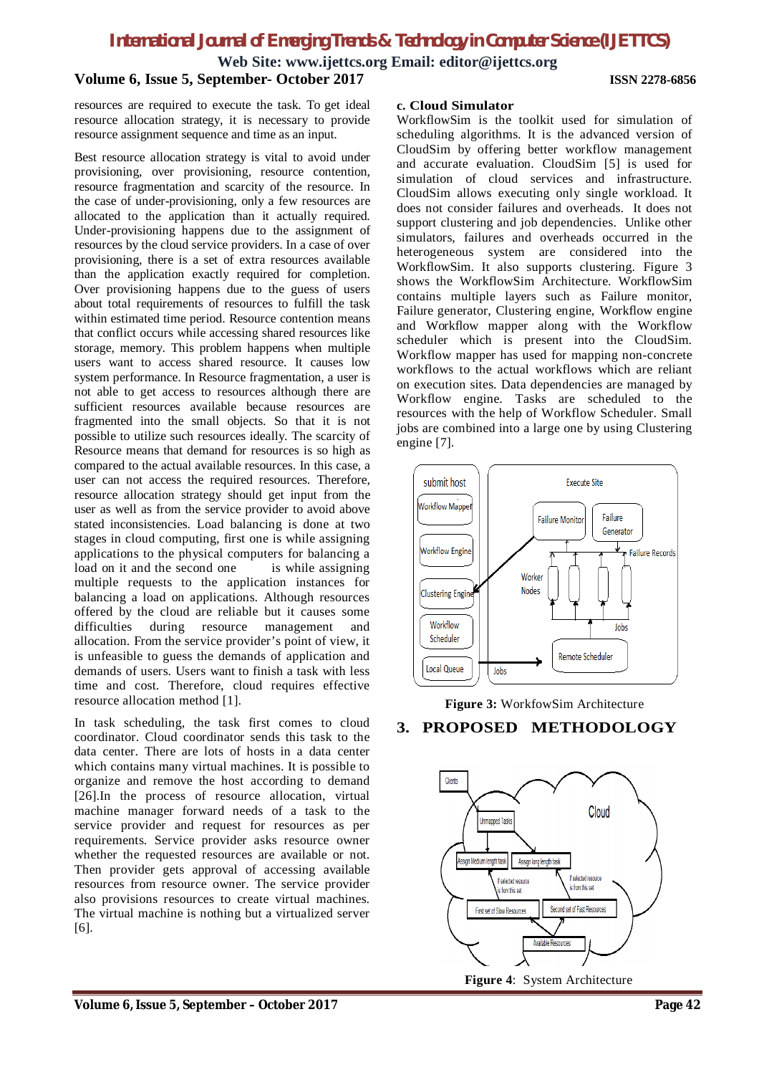**Web Site: www.ijettcs.org Email: editor@ijettcs.org**

# **Volume 6, Issue 5, September- October 2017 ISSN 2278-6856**

resources are required to execute the task. To get ideal resource allocation strategy, it is necessary to provide resource assignment sequence and time as an input.

Best resource allocation strategy is vital to avoid under provisioning, over provisioning, resource contention, resource fragmentation and scarcity of the resource. In the case of under-provisioning, only a few resources are allocated to the application than it actually required. Under-provisioning happens due to the assignment of resources by the cloud service providers. In a case of over provisioning, there is a set of extra resources available than the application exactly required for completion. Over provisioning happens due to the guess of users about total requirements of resources to fulfill the task within estimated time period. Resource contention means that conflict occurs while accessing shared resources like storage, memory. This problem happens when multiple users want to access shared resource. It causes low system performance. In Resource fragmentation, a user is not able to get access to resources although there are sufficient resources available because resources are fragmented into the small objects. So that it is not possible to utilize such resources ideally. The scarcity of Resource means that demand for resources is so high as compared to the actual available resources. In this case, a user can not access the required resources. Therefore, resource allocation strategy should get input from the user as well as from the service provider to avoid above stated inconsistencies. Load balancing is done at two stages in cloud computing, first one is while assigning applications to the physical computers for balancing a load on it and the second one is while assigning multiple requests to the application instances for balancing a load on applications. Although resources offered by the cloud are reliable but it causes some difficulties during resource management and allocation. From the service provider's point of view, it is unfeasible to guess the demands of application and demands of users. Users want to finish a task with less time and cost. Therefore, cloud requires effective resource allocation method [1].

In task scheduling, the task first comes to cloud coordinator. Cloud coordinator sends this task to the data center. There are lots of hosts in a data center which contains many virtual machines. It is possible to organize and remove the host according to demand [26].In the process of resource allocation, virtual machine manager forward needs of a task to the service provider and request for resources as per requirements. Service provider asks resource owner whether the requested resources are available or not. Then provider gets approval of accessing available resources from resource owner. The service provider also provisions resources to create virtual machines. The virtual machine is nothing but a virtualized server [6].

#### **c. Cloud Simulator**

WorkflowSim is the toolkit used for simulation of scheduling algorithms. It is the advanced version of CloudSim by offering better workflow management and accurate evaluation. CloudSim [5] is used for simulation of cloud services and infrastructure. CloudSim allows executing only single workload. It does not consider failures and overheads. It does not support clustering and job dependencies. Unlike other simulators, failures and overheads occurred in the heterogeneous system are considered into the WorkflowSim. It also supports clustering. Figure 3 shows the WorkflowSim Architecture. WorkflowSim contains multiple layers such as Failure monitor, Failure generator, Clustering engine, Workflow engine and Workflow mapper along with the Workflow scheduler which is present into the CloudSim. Workflow mapper has used for mapping non-concrete workflows to the actual workflows which are reliant on execution sites. Data dependencies are managed by Workflow engine. Tasks are scheduled to the resources with the help of Workflow Scheduler. Small jobs are combined into a large one by using Clustering engine [7].





#### **3. PROPOSED METHODOLOGY**



**Figure 4**: System Architecture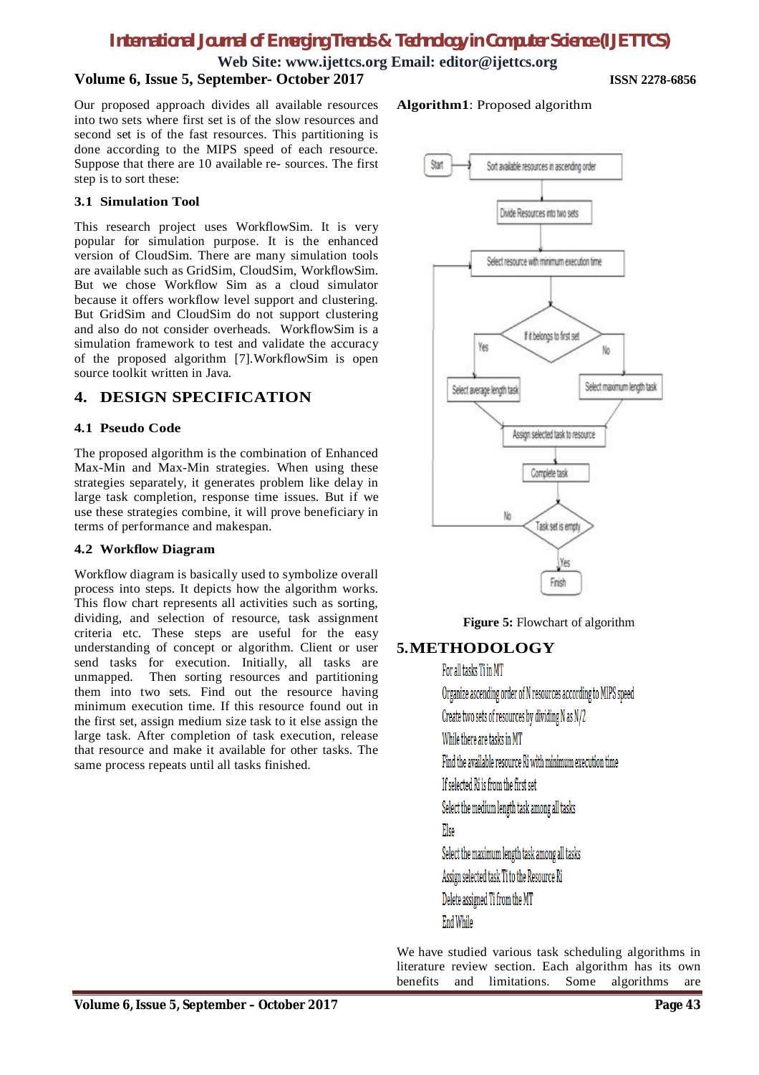**Web Site: www.ijettcs.org Email: editor@ijettcs.org**

### **Volume 6, Issue 5, September- October 2017 ISSN 2278-6856**

Our proposed approach divides all available resources into two sets where first set is of the slow resources and second set is of the fast resources. This partitioning is done according to the MIPS speed of each resource. Suppose that there are 10 available re- sources. The first step is to sort these:

#### **3.1 Simulation Tool**

This research project uses WorkflowSim. It is very popular for simulation purpose. It is the enhanced version of CloudSim. There are many simulation tools are available such as GridSim, CloudSim, WorkflowSim. But we chose Workflow Sim as a cloud simulator because it offers workflow level support and clustering. But GridSim and CloudSim do not support clustering and also do not consider overheads. WorkflowSim is a simulation framework to test and validate the accuracy of the proposed algorithm [7].WorkflowSim is open source toolkit written in Java.

#### **4. DESIGN SPECIFICATION**

#### **4.1 Pseudo Code**

The proposed algorithm is the combination of Enhanced Max-Min and Max-Min strategies. When using these strategies separately, it generates problem like delay in large task completion, response time issues. But if we use these strategies combine, it will prove beneficiary in terms of performance and makespan.

#### **4.2 Workflow Diagram**

Workflow diagram is basically used to symbolize overall process into steps. It depicts how the algorithm works. This flow chart represents all activities such as sorting, dividing, and selection of resource, task assignment criteria etc. These steps are useful for the easy understanding of concept or algorithm. Client or user send tasks for execution. Initially, all tasks are unmapped. Then sorting resources and partitioning them into two sets. Find out the resource having minimum execution time. If this resource found out in the first set, assign medium size task to it else assign the large task. After completion of task execution, release that resource and make it available for other tasks. The same process repeats until all tasks finished.

#### **Algorithm1**: Proposed algorithm



**Figure 5:** Flowchart of algorithm

#### **5.METHODOLOGY**

For all tasks Ti in MT

Organize ascending order of N resources according to MIPS speed

Create two sets of resources by dividing N as N/2

While there are tasks in MT

Find the available resource Ri with minimum execution time

If selected Ri is from the first set

Select the medium length task among all tasks

#### Else

Select the maximum length task among all tasks

Assign selected task Ti to the Resource Ri

Delete assigned Ti from the MT

**End While** 

We have studied various task scheduling algorithms in literature review section. Each algorithm has its own benefits and limitations. Some algorithms are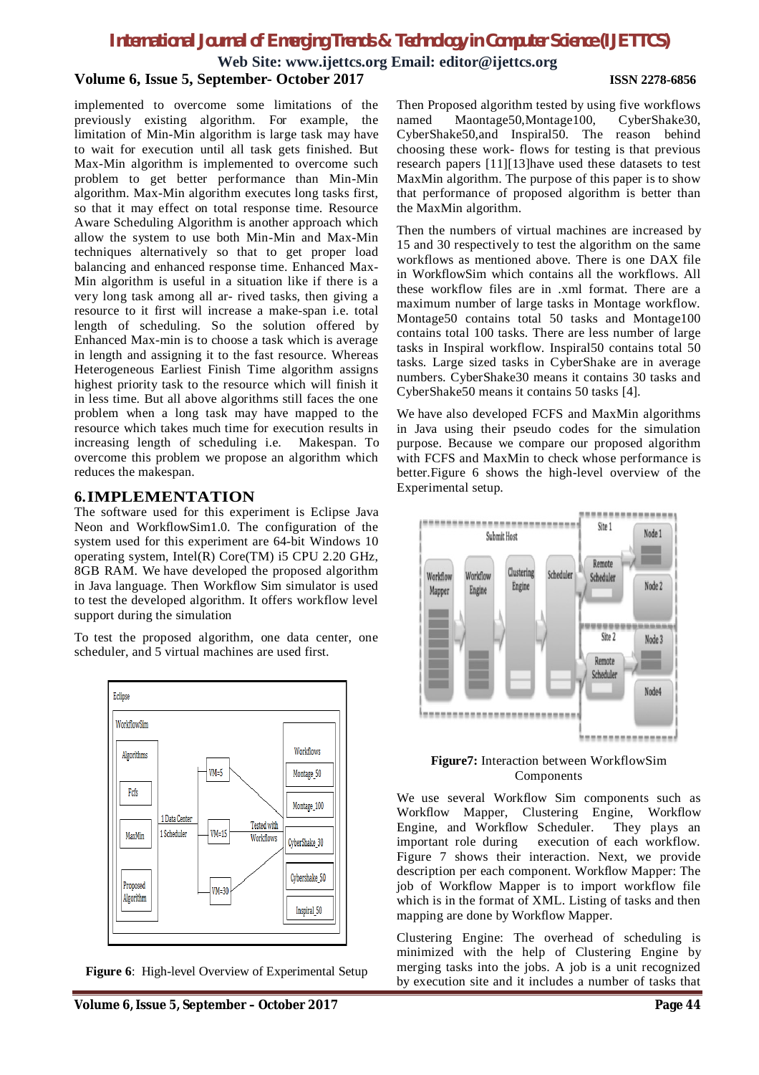**Web Site: www.ijettcs.org Email: editor@ijettcs.org**

#### **Volume 6, Issue 5, September- October 2017 ISSN 2278-6856**

implemented to overcome some limitations of the previously existing algorithm. For example, the limitation of Min-Min algorithm is large task may have to wait for execution until all task gets finished. But Max-Min algorithm is implemented to overcome such problem to get better performance than Min-Min algorithm. Max-Min algorithm executes long tasks first, so that it may effect on total response time. Resource Aware Scheduling Algorithm is another approach which allow the system to use both Min-Min and Max-Min techniques alternatively so that to get proper load balancing and enhanced response time. Enhanced Max-Min algorithm is useful in a situation like if there is a very long task among all ar- rived tasks, then giving a resource to it first will increase a make-span i.e. total length of scheduling. So the solution offered by Enhanced Max-min is to choose a task which is average in length and assigning it to the fast resource. Whereas Heterogeneous Earliest Finish Time algorithm assigns highest priority task to the resource which will finish it in less time. But all above algorithms still faces the one problem when a long task may have mapped to the resource which takes much time for execution results in increasing length of scheduling i.e. Makespan. To overcome this problem we propose an algorithm which reduces the makespan.

#### **6.IMPLEMENTATION**

The software used for this experiment is Eclipse Java Neon and WorkflowSim1.0. The configuration of the system used for this experiment are 64-bit Windows 10 operating system, Intel(R) Core(TM) i5 CPU 2.20 GHz, 8GB RAM. We have developed the proposed algorithm in Java language. Then Workflow Sim simulator is used to test the developed algorithm. It offers workflow level support during the simulation

To test the proposed algorithm, one data center, one scheduler, and 5 virtual machines are used first.



**Figure 6**: High-level Overview of Experimental Setup

Then Proposed algorithm tested by using five workflows named Maontage50,Montage100, CyberShake30, CyberShake50,and Inspiral50. The reason behind choosing these work- flows for testing is that previous research papers [11][13]have used these datasets to test MaxMin algorithm. The purpose of this paper is to show that performance of proposed algorithm is better than the MaxMin algorithm.

Then the numbers of virtual machines are increased by 15 and 30 respectively to test the algorithm on the same workflows as mentioned above. There is one DAX file in WorkflowSim which contains all the workflows. All these workflow files are in .xml format. There are a maximum number of large tasks in Montage workflow. Montage50 contains total 50 tasks and Montage100 contains total 100 tasks. There are less number of large tasks in Inspiral workflow. Inspiral50 contains total 50 tasks. Large sized tasks in CyberShake are in average numbers. CyberShake30 means it contains 30 tasks and CyberShake50 means it contains 50 tasks [4].

We have also developed FCFS and MaxMin algorithms in Java using their pseudo codes for the simulation purpose. Because we compare our proposed algorithm with FCFS and MaxMin to check whose performance is better.Figure 6 shows the high-level overview of the Experimental setup.



#### **Figure7:** Interaction between WorkflowSim Components

We use several Workflow Sim components such as Workflow Mapper, Clustering Engine, Workflow Engine, and Workflow Scheduler. They plays an important role during execution of each workflow. Figure 7 shows their interaction. Next, we provide description per each component. Workflow Mapper: The job of Workflow Mapper is to import workflow file which is in the format of XML. Listing of tasks and then mapping are done by Workflow Mapper.

Clustering Engine: The overhead of scheduling is minimized with the help of Clustering Engine by merging tasks into the jobs. A job is a unit recognized by execution site and it includes a number of tasks that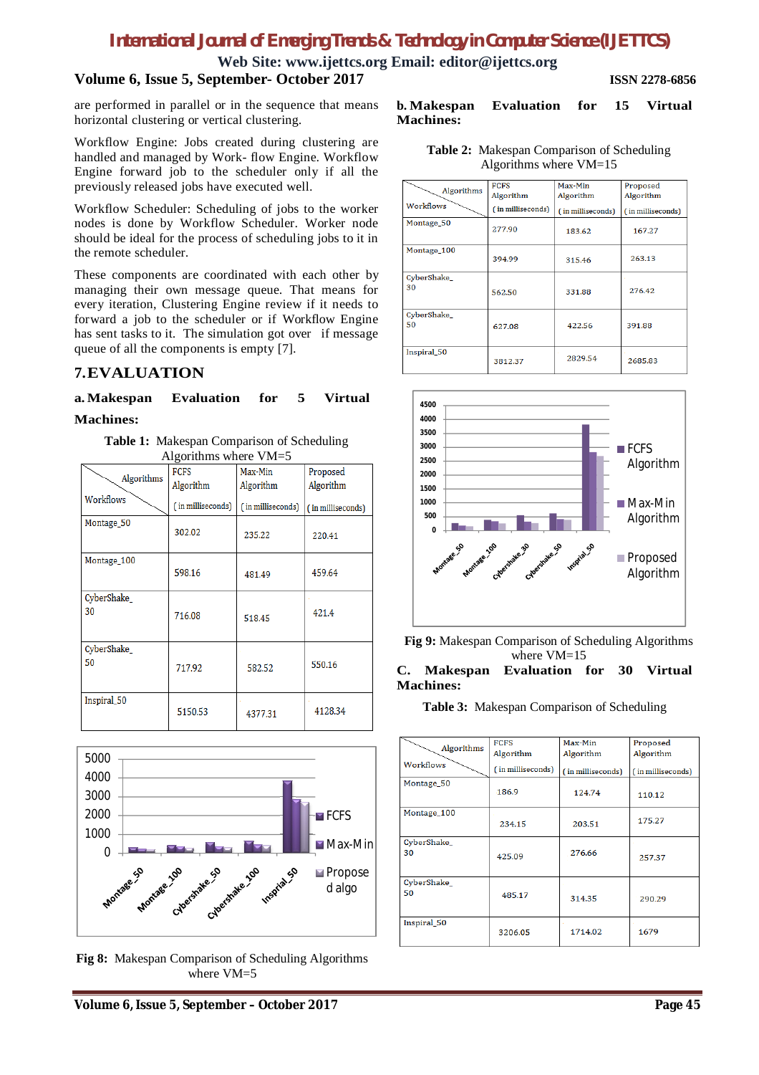**Web Site: www.ijettcs.org Email: editor@ijettcs.org**

### **Volume 6, Issue 5, September- October 2017 ISSN 2278-6856**

are performed in parallel or in the sequence that means horizontal clustering or vertical clustering.

Workflow Engine: Jobs created during clustering are handled and managed by Work- flow Engine. Workflow Engine forward job to the scheduler only if all the previously released jobs have executed well.

Workflow Scheduler: Scheduling of jobs to the worker nodes is done by Workflow Scheduler. Worker node should be ideal for the process of scheduling jobs to it in the remote scheduler.

These components are coordinated with each other by managing their own message queue. That means for every iteration, Clustering Engine review if it needs to forward a job to the scheduler or if Workflow Engine has sent tasks to it. The simulation got over if message queue of all the components is empty [7].

#### **7.EVALUATION**

#### **a.Makespan Evaluation for 5 Virtual Machines:**

**Table 1:** Makespan Comparison of Scheduling Algorithms where VM=5

| $\mu$ mgunumiy where $\mu$ ivi $\rightarrow$ |                   |                   |                   |  |
|----------------------------------------------|-------------------|-------------------|-------------------|--|
| Algorithms                                   | <b>FCFS</b>       | Max-Min           | Proposed          |  |
|                                              | Algorithm         | Algorithm         | Algorithm         |  |
| Workflows                                    | (in milliseconds) | (in milliseconds) | (in milliseconds) |  |
| Montage 50                                   | 302.02            | 235.22            | 220.41            |  |
| Montage_100                                  | 598.16            | 481.49            | 459.64            |  |
| CyberShake<br>30                             | 716.08            | 518.45            | 421.4             |  |
| CyberShake_<br>50                            | 717.92            | 582.52            | 550.16            |  |
| Inspiral 50                                  | 5150.53           | 4377.31           | 4128.34           |  |



**Fig 8:** Makespan Comparison of Scheduling Algorithms where VM=5

#### **b. Makespan Evaluation for 15 Virtual Machines:**

**Table 2:** Makespan Comparison of Scheduling Algorithms where VM=15

| Algorithms       | <b>FCFS</b><br>Algorithm | Max-Min<br>Algorithm | Proposed<br>Algorithm |
|------------------|--------------------------|----------------------|-----------------------|
| Workflows        | (in milliseconds)        | (in milliseconds)    | (in milliseconds)     |
| Montage_50       | 277.90                   | 183.62               | 167.27                |
| Montage_100      | 394.99                   | 315.46               | 263.13                |
| CyberShake<br>30 | 562.50                   | 331.88               | 276.42                |
| CyberShake<br>50 | 627.08                   | 422.56               | 391.88                |
| Inspiral_50      | 3812.37                  | 2829.54              | 2685.83               |



**Fig 9:** Makespan Comparison of Scheduling Algorithms where VM=15

#### **C. Makespan Evaluation for 30 Virtual Machines:**

**Table 3:** Makespan Comparison of Scheduling

|                  | <b>FCFS</b>       | Max-Min           | Proposed          |
|------------------|-------------------|-------------------|-------------------|
| Algorithms       | Algorithm         | Algorithm         | Algorithm         |
| Workflows        | (in milliseconds) | (in milliseconds) | (in milliseconds) |
| Montage_50       | 186.9             | 124.74            | 110.12            |
| Montage 100      | 234.15            | 203.51            | 175.27            |
| CyberShake<br>30 | 425.09            | 276.66            | 257.37            |
| CyberShake<br>50 | 485.17            | 314.35            | 290.29            |
| Inspiral 50      | 3206.05           | 1714.02           | 1679              |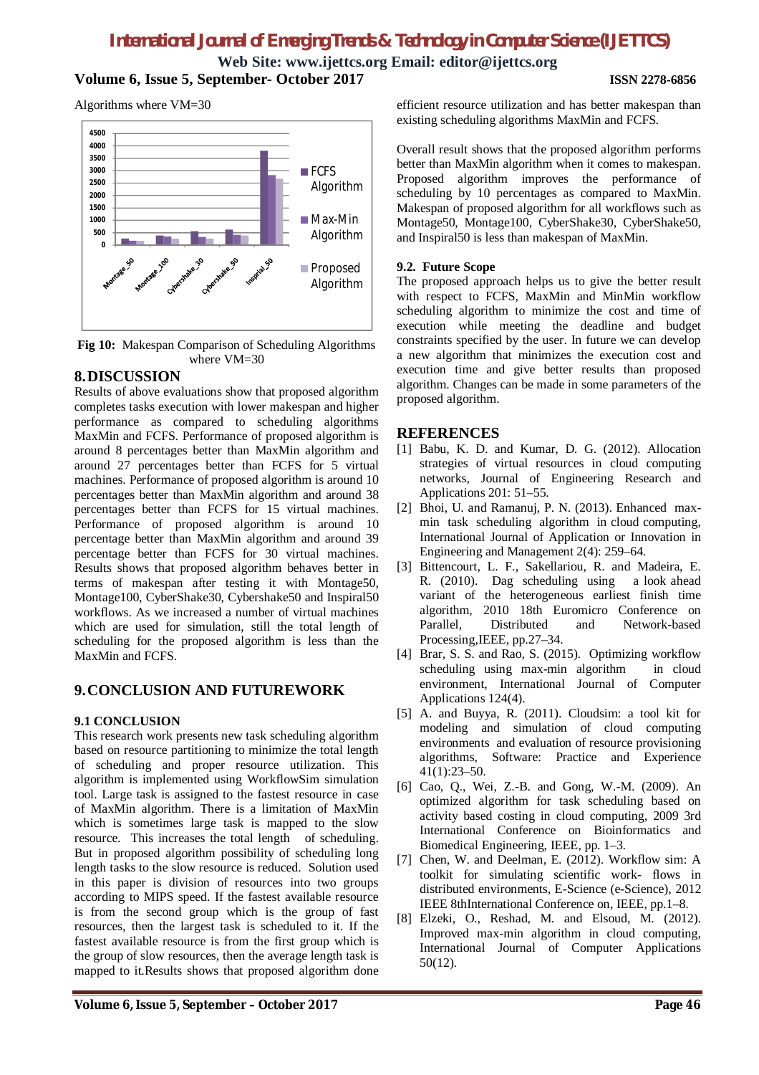**Web Site: www.ijettcs.org Email: editor@ijettcs.org Volume 6, Issue 5, September- October 2017 ISSN 2278-6856**

Algorithms where VM=30



**Fig 10:** Makespan Comparison of Scheduling Algorithms where VM=30

#### **8.DISCUSSION**

Results of above evaluations show that proposed algorithm completes tasks execution with lower makespan and higher performance as compared to scheduling algorithms MaxMin and FCFS. Performance of proposed algorithm is around 8 percentages better than MaxMin algorithm and around 27 percentages better than FCFS for 5 virtual machines. Performance of proposed algorithm is around 10 percentages better than MaxMin algorithm and around 38 percentages better than FCFS for 15 virtual machines. Performance of proposed algorithm is around 10 percentage better than MaxMin algorithm and around 39 percentage better than FCFS for 30 virtual machines. Results shows that proposed algorithm behaves better in terms of makespan after testing it with Montage50, Montage100, CyberShake30, Cybershake50 and Inspiral50 workflows. As we increased a number of virtual machines which are used for simulation, still the total length of scheduling for the proposed algorithm is less than the MaxMin and FCFS.

### **9.CONCLUSION AND FUTUREWORK**

#### **9.1 CONCLUSION**

This research work presents new task scheduling algorithm based on resource partitioning to minimize the total length of scheduling and proper resource utilization. This algorithm is implemented using WorkflowSim simulation tool. Large task is assigned to the fastest resource in case of MaxMin algorithm. There is a limitation of MaxMin which is sometimes large task is mapped to the slow resource. This increases the total length of scheduling. But in proposed algorithm possibility of scheduling long length tasks to the slow resource is reduced. Solution used in this paper is division of resources into two groups according to MIPS speed. If the fastest available resource is from the second group which is the group of fast resources, then the largest task is scheduled to it. If the fastest available resource is from the first group which is the group of slow resources, then the average length task is mapped to it.Results shows that proposed algorithm done efficient resource utilization and has better makespan than existing scheduling algorithms MaxMin and FCFS.

Overall result shows that the proposed algorithm performs better than MaxMin algorithm when it comes to makespan. Proposed algorithm improves the performance of scheduling by 10 percentages as compared to MaxMin. Makespan of proposed algorithm for all workflows such as Montage50, Montage100, CyberShake30, CyberShake50, and Inspiral50 is less than makespan of MaxMin.

#### **9.2. Future Scope**

The proposed approach helps us to give the better result with respect to FCFS, MaxMin and MinMin workflow scheduling algorithm to minimize the cost and time of execution while meeting the deadline and budget constraints specified by the user. In future we can develop a new algorithm that minimizes the execution cost and execution time and give better results than proposed algorithm. Changes can be made in some parameters of the proposed algorithm.

#### **REFERENCES**

- [1] Babu, K. D. and Kumar, D. G. (2012). Allocation strategies of virtual resources in cloud computing networks, Journal of Engineering Research and Applications 201: 51–55.
- [2] Bhoi, U. and Ramanuj, P. N. (2013). Enhanced maxmin task scheduling algorithm in cloud computing, International Journal of Application or Innovation in Engineering and Management 2(4): 259–64.
- [3] Bittencourt, L. F., Sakellariou, R. and Madeira, E. R. (2010). Dag scheduling using a look ahead variant of the heterogeneous earliest finish time algorithm, 2010 18th Euromicro Conference on and Network-based Processing,IEEE, pp.27–34.
- [4] Brar, S. S. and Rao, S. (2015). Optimizing workflow scheduling using max-min algorithm in cloud environment, International Journal of Computer Applications 124(4).
- [5] A. and Buyya, R. (2011). Cloudsim: a tool kit for modeling and simulation of cloud computing environments and evaluation of resource provisioning algorithms, Software: Practice and Experience 41(1):23–50.
- [6] Cao, Q., Wei, Z.-B. and Gong, W.-M. (2009). An optimized algorithm for task scheduling based on activity based costing in cloud computing, 2009 3rd International Conference on Bioinformatics and Biomedical Engineering, IEEE, pp. 1–3.
- [7] Chen, W. and Deelman, E. (2012). Workflow sim: A toolkit for simulating scientific work- flows in distributed environments, E-Science (e-Science), 2012 IEEE 8thInternational Conference on, IEEE, pp.1–8.
- [8] Elzeki, O., Reshad, M. and Elsoud, M. (2012). Improved max-min algorithm in cloud computing, International Journal of Computer Applications 50(12).